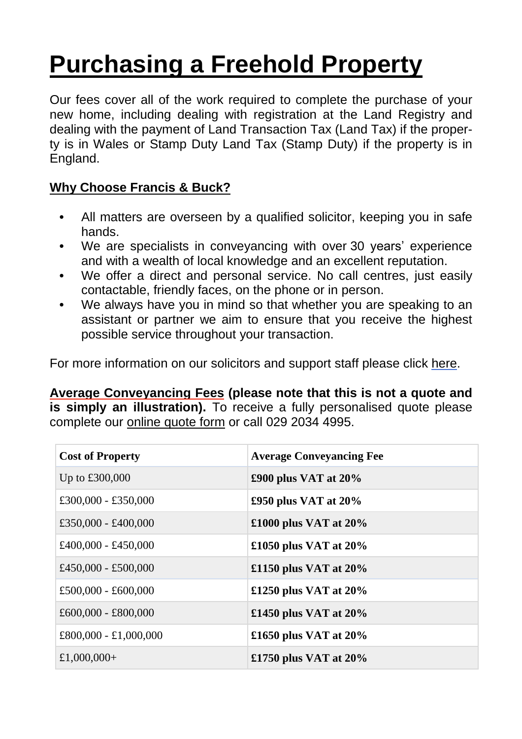# **Purchasing a Freehold Property**

Our fees cover all of the work required to complete the purchase of your new home, including dealing with registration at the Land Registry and dealing with the payment of Land Transaction Tax (Land Tax) if the property is in Wales or Stamp Duty Land Tax (Stamp Duty) if the property is in England.

# **Why Choose Francis & Buck?**

- **•** All matters are overseen by a qualified solicitor, keeping you in safe hands.
- **•** We are specialists in conveyancing with over 30 years' experience and with a wealth of local knowledge and an excellent reputation.
- **•** We offer a direct and personal service. No call centres, just easily contactable, friendly faces, on the phone or in person.
- **•** We always have you in mind so that whether you are speaking to an assistant or partner we aim to ensure that you receive the highest possible service throughout your transaction.

For more information on our solicitors and support staff please click [here.](http://francisandbuck.co.uk/meet-the-team/)

**Average Conveyancing Fees (please note that this is not a quote and is simply an illustration).** To receive a fully personalised quote please complete our [online](http://francisandbuck.co.uk/contact-us/) quote form or call 029 2034 4995.

| <b>Cost of Property</b> | <b>Average Conveyancing Fee</b> |
|-------------------------|---------------------------------|
| Up to $£300,000$        | £900 plus VAT at $20\%$         |
| £300,000 - £350,000     | £950 plus VAT at $20\%$         |
| £350,000 - £400,000     | £1000 plus VAT at $20\%$        |
| £400,000 - £450,000     | £1050 plus VAT at $20\%$        |
| £450,000 - £500,000     | £1150 plus VAT at $20\%$        |
| £500,000 - £600,000     | £1250 plus VAT at $20\%$        |
| £600,000 - £800,000     | £1450 plus VAT at $20\%$        |
| £800,000 - £1,000,000   | £1650 plus VAT at $20\%$        |
| £1,000,000+             | £1750 plus VAT at $20\%$        |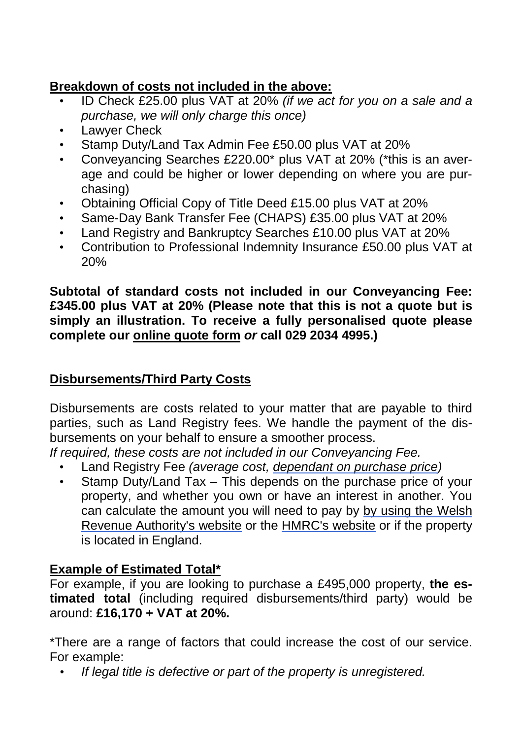# **Breakdown of costs not included in the above:**

- ID Check £25.00 plus VAT at 20% *(if we act for you on a sale and a purchase, we will only charge this once)*
- Lawyer Check
- Stamp Duty/Land Tax Admin Fee £50.00 plus VAT at 20%
- Conveyancing Searches £220.00\* plus VAT at 20% (\*this is an average and could be higher or lower depending on where you are purchasing)
- Obtaining Official Copy of Title Deed £15.00 plus VAT at 20%
- Same-Day Bank Transfer Fee (CHAPS) £35.00 plus VAT at 20%
- Land Registry and Bankruptcy Searches £10.00 plus VAT at 20%
- Contribution to Professional Indemnity Insurance £50.00 plus VAT at 20%

**Subtotal of standard costs not included in our Conveyancing Fee: £345.00 plus VAT at 20% (Please note that this is not a quote but is simply an illustration. To receive a fully personalised quote please complete our [online](http://francisandbuck.co.uk/contact-us/) quote form** *or* **call 029 2034 4995.)**

### **Disbursements/Third Party Costs**

Disbursements are costs related to your matter that are payable to third parties, such as Land Registry fees. We handle the payment of the disbursements on your behalf to ensure a smoother process.

*If required, these costs are not included in our Conveyancing Fee.*

- Land Registry Fee *(average cost, [dependant](https://www.gov.uk/guidance/hm-land-registry-registration-services-fees) on purchase price)*
- Stamp Duty/Land Tax This depends on the purchase price of your property, and whether you own or have an interest in another. You can calculate the amount you will need to pay by by using the [Welsh](https://beta.gov.wales/land-transaction-tax-calculator) Revenue [Authority's](https://beta.gov.wales/land-transaction-tax-calculator) website or the [HMRC's](https://www.tax.service.gov.uk/calculate-stamp-duty-land-tax/%23/intro) website or if the property is located in England.

### **Example of Estimated Total\***

For example, if you are looking to purchase a £495,000 property, **the estimated total** (including required disbursements/third party) would be around: **£16,170 + VAT at 20%.**

\*There are a range of factors that could increase the cost of our service. For example:

*• If legal title is defective or part of the property is unregistered.*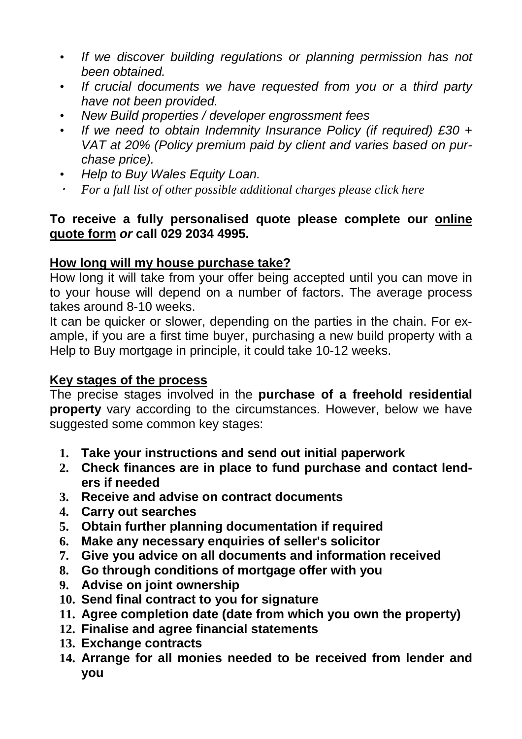- *• If we discover building regulations or planning permission has not been obtained.*
- *• If crucial documents we have requested from you or a third party have not been provided.*
- *• New Build properties / developer engrossment fees*
- *• If we need to obtain Indemnity Insurance Policy (if required) £30 + VAT at 20% (Policy premium paid by client and varies based on purchase price).*
- *• Help to Buy Wales Equity Loan.*
- *For a full list of other possible additional charges please click here*

#### **To receive a fully personalised quote please complete our [online](http://francisandbuck.co.uk/contact-us/) [quote](http://francisandbuck.co.uk/contact-us/) form** *or* **call 029 2034 4995.**

#### **How long will my house purchase take?**

How long it will take from your offer being accepted until you can move in to your house will depend on a number of factors. The average process takes around 8-10 weeks.

It can be quicker or slower, depending on the parties in the chain. For example, if you are a first time buyer, purchasing a new build property with a Help to Buy mortgage in principle, it could take 10-12 weeks.

#### **Key stages of the process**

The precise stages involved in the **purchase of a freehold residential property** vary according to the circumstances. However, below we have suggested some common key stages:

- **1. Take your instructions and send out initial paperwork**
- **2. Check finances are in place to fund purchase and contact lenders if needed**
- **3. Receive and advise on contract documents**
- **4. Carry out searches**
- **5. Obtain further planning documentation if required**
- **6. Make any necessary enquiries of seller's solicitor**
- **7. Give you advice on all documents and information received**
- **8. Go through conditions of mortgage offer with you**
- **9. Advise on joint ownership**
- **10. Send final contract to you for signature**
- **11. Agree completion date (date from which you own the property)**
- **12. Finalise and agree financial statements**
- **13. Exchange contracts**
- **14. Arrange for all monies needed to be received from lender and you**